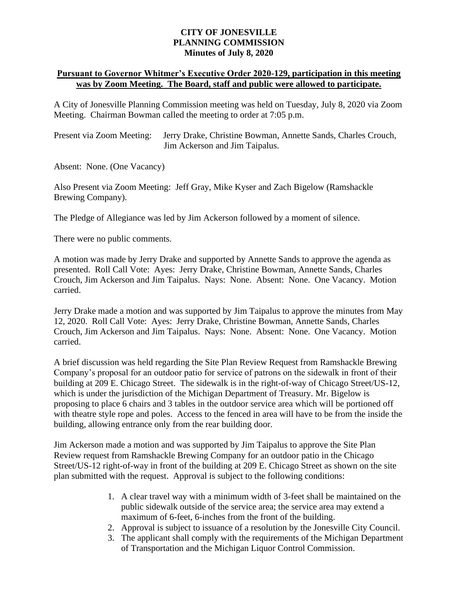## **CITY OF JONESVILLE PLANNING COMMISSION Minutes of July 8, 2020**

## **Pursuant to Governor Whitmer's Executive Order 2020-129, participation in this meeting was by Zoom Meeting. The Board, staff and public were allowed to participate.**

A City of Jonesville Planning Commission meeting was held on Tuesday, July 8, 2020 via Zoom Meeting. Chairman Bowman called the meeting to order at 7:05 p.m.

Present via Zoom Meeting: Jerry Drake, Christine Bowman, Annette Sands, Charles Crouch, Jim Ackerson and Jim Taipalus.

Absent: None. (One Vacancy)

Also Present via Zoom Meeting: Jeff Gray, Mike Kyser and Zach Bigelow (Ramshackle Brewing Company).

The Pledge of Allegiance was led by Jim Ackerson followed by a moment of silence.

There were no public comments.

A motion was made by Jerry Drake and supported by Annette Sands to approve the agenda as presented. Roll Call Vote: Ayes: Jerry Drake, Christine Bowman, Annette Sands, Charles Crouch, Jim Ackerson and Jim Taipalus. Nays: None. Absent: None. One Vacancy. Motion carried.

Jerry Drake made a motion and was supported by Jim Taipalus to approve the minutes from May 12, 2020. Roll Call Vote: Ayes: Jerry Drake, Christine Bowman, Annette Sands, Charles Crouch, Jim Ackerson and Jim Taipalus. Nays: None. Absent: None. One Vacancy. Motion carried.

A brief discussion was held regarding the Site Plan Review Request from Ramshackle Brewing Company's proposal for an outdoor patio for service of patrons on the sidewalk in front of their building at 209 E. Chicago Street. The sidewalk is in the right-of-way of Chicago Street/US-12, which is under the jurisdiction of the Michigan Department of Treasury. Mr. Bigelow is proposing to place 6 chairs and 3 tables in the outdoor service area which will be portioned off with theatre style rope and poles. Access to the fenced in area will have to be from the inside the building, allowing entrance only from the rear building door.

Jim Ackerson made a motion and was supported by Jim Taipalus to approve the Site Plan Review request from Ramshackle Brewing Company for an outdoor patio in the Chicago Street/US-12 right-of-way in front of the building at 209 E. Chicago Street as shown on the site plan submitted with the request. Approval is subject to the following conditions:

- 1. A clear travel way with a minimum width of 3-feet shall be maintained on the public sidewalk outside of the service area; the service area may extend a maximum of 6-feet, 6-inches from the front of the building.
- 2. Approval is subject to issuance of a resolution by the Jonesville City Council.
- 3. The applicant shall comply with the requirements of the Michigan Department of Transportation and the Michigan Liquor Control Commission.